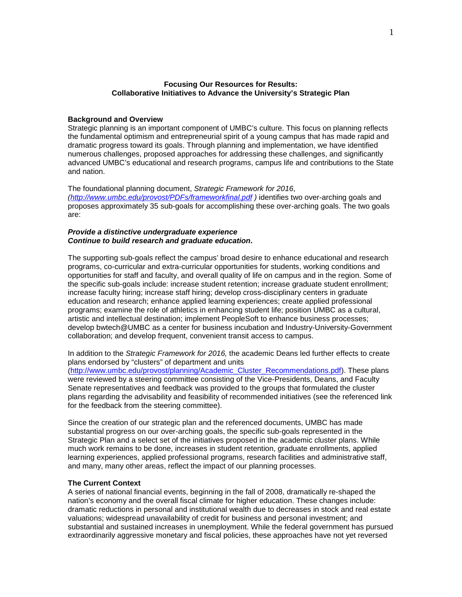#### **Focusing Our Resources for Results: Collaborative Initiatives to Advance the University's Strategic Plan**

#### **Background and Overview**

Strategic planning is an important component of UMBC's culture. This focus on planning reflects the fundamental optimism and entrepreneurial spirit of a young campus that has made rapid and dramatic progress toward its goals. Through planning and implementation, we have identified numerous challenges, proposed approaches for addressing these challenges, and significantly advanced UMBC's educational and research programs, campus life and contributions to the State and nation.

The foundational planning document, *Strategic Framework for 2016*, *[\(http://www.umbc.edu/provost/PDFs/frameworkfinal.pdf](http://www.umbc.edu/provost/PDFs/frameworkfinal.pdf) )* identifies two over-arching goals and proposes approximately 35 sub-goals for accomplishing these over-arching goals. The two goals are:

#### *Provide a distinctive undergraduate experience Continue to build research and graduate education.*

The supporting sub-goals reflect the campus' broad desire to enhance educational and research programs, co-curricular and extra-curricular opportunities for students, working conditions and opportunities for staff and faculty, and overall quality of life on campus and in the region. Some of the specific sub-goals include: increase student retention; increase graduate student enrollment; increase faculty hiring; increase staff hiring; develop cross-disciplinary centers in graduate education and research; enhance applied learning experiences; create applied professional programs; examine the role of athletics in enhancing student life; position UMBC as a cultural, artistic and intellectual destination; implement PeopleSoft to enhance business processes; develop bwtech@UMBC as a center for business incubation and Industry-University-Government collaboration; and develop frequent, convenient transit access to campus.

In addition to the *Strategic Framework for 2016,* the academic Deans led further effects to create plans endorsed by "clusters" of department and units [\(http://www.umbc.edu/provost/planning/Academic\\_Cluster\\_Recommendations.pdf\)](http://www.umbc.edu/provost/planning/Academic_Cluster_Recommendations.pdf). These plans were reviewed by a steering committee consisting of the Vice-Presidents, Deans, and Faculty Senate representatives and feedback was provided to the groups that formulated the cluster plans regarding the advisability and feasibility of recommended initiatives (see the referenced link for the feedback from the steering committee).

Since the creation of our strategic plan and the referenced documents, UMBC has made substantial progress on our over-arching goals, the specific sub-goals represented in the Strategic Plan and a select set of the initiatives proposed in the academic cluster plans. While much work remains to be done, increases in student retention, graduate enrollments, applied learning experiences, applied professional programs, research facilities and administrative staff, and many, many other areas, reflect the impact of our planning processes.

#### **The Current Context**

A series of national financial events, beginning in the fall of 2008, dramatically re-shaped the nation's economy and the overall fiscal climate for higher education. These changes include: dramatic reductions in personal and institutional wealth due to decreases in stock and real estate valuations; widespread unavailability of credit for business and personal investment; and substantial and sustained increases in unemployment. While the federal government has pursued extraordinarily aggressive monetary and fiscal policies, these approaches have not yet reversed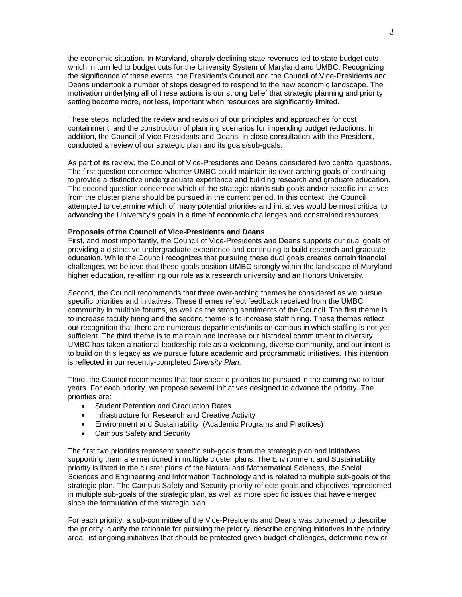the economic situation. In Maryland, sharply declining state revenues led to state budget cuts which in turn led to budget cuts for the University System of Maryland and UMBC. Recognizing the significance of these events, the President's Council and the Council of Vice-Presidents and Deans undertook a number of steps designed to respond to the new economic landscape. The motivation underlying all of these actions is our strong belief that strategic planning and priority setting become more, not less, important when resources are significantly limited.

These steps included the review and revision of our principles and approaches for cost containment, and the construction of planning scenarios for impending budget reductions. In addition, the Council of Vice-Presidents and Deans, in close consultation with the President, conducted a review of our strategic plan and its goals/sub-goals.

As part of its review, the Council of Vice-Presidents and Deans considered two central questions. The first question concerned whether UMBC could maintain its over-arching goals of continuing to provide a distinctive undergraduate experience and building research and graduate education. The second question concerned which of the strategic plan's sub-goals and/or specific initiatives from the cluster plans should be pursued in the current period. In this context, the Council attempted to determine which of many potential priorities and initiatives would be most critical to advancing the University's goals in a time of economic challenges and constrained resources.

#### **Proposals of the Council of Vice-Presidents and Deans**

First, and most importantly, the Council of Vice-Presidents and Deans supports our dual goals of providing a distinctive undergraduate experience and continuing to build research and graduate education. While the Council recognizes that pursuing these dual goals creates certain financial challenges, we believe that these goals position UMBC strongly within the landscape of Maryland higher education, re-affirming our role as a research university and an Honors University.

Second, the Council recommends that three over-arching themes be considered as we pursue specific priorities and initiatives. These themes reflect feedback received from the UMBC community in multiple forums, as well as the strong sentiments of the Council. The first theme is to increase faculty hiring and the second theme is to increase staff hiring. These themes reflect our recognition that there are numerous departments/units on campus in which staffing is not yet sufficient. The third theme is to maintain and increase our historical commitment to diversity. UMBC has taken a national leadership role as a welcoming, diverse community, and our intent is to build on this legacy as we pursue future academic and programmatic initiatives. This intention is reflected in our recently-completed *Diversity Plan.*

Third, the Council recommends that four specific priorities be pursued in the coming two to four years. For each priority, we propose several initiatives designed to advance the priority. The priorities are:

- Student Retention and Graduation Rates
- Infrastructure for Research and Creative Activity
- Environment and Sustainability (Academic Programs and Practices)
- Campus Safety and Security

The first two priorities represent specific sub-goals from the strategic plan and initiatives supporting them are mentioned in multiple cluster plans. The Environment and Sustainability priority is listed in the cluster plans of the Natural and Mathematical Sciences, the Social Sciences and Engineering and Information Technology and is related to multiple sub-goals of the strategic plan. The Campus Safety and Security priority reflects goals and objectives represented in multiple sub-goals of the strategic plan, as well as more specific issues that have emerged since the formulation of the strategic plan.

For each priority, a sub-committee of the Vice-Presidents and Deans was convened to describe the priority, clarify the rationale for pursuing the priority, describe ongoing initiatives in the priority area, list ongoing initiatives that should be protected given budget challenges, determine new or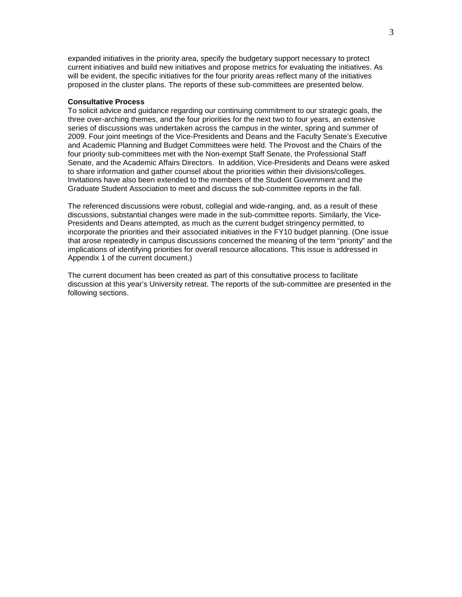expanded initiatives in the priority area, specify the budgetary support necessary to protect current initiatives and build new initiatives and propose metrics for evaluating the initiatives. As will be evident, the specific initiatives for the four priority areas reflect many of the initiatives proposed in the cluster plans. The reports of these sub-committees are presented below.

#### **Consultative Process**

To solicit advice and guidance regarding our continuing commitment to our strategic goals, the three over-arching themes, and the four priorities for the next two to four years, an extensive series of discussions was undertaken across the campus in the winter, spring and summer of 2009. Four joint meetings of the Vice-Presidents and Deans and the Faculty Senate's Executive and Academic Planning and Budget Committees were held. The Provost and the Chairs of the four priority sub-committees met with the Non-exempt Staff Senate, the Professional Staff Senate, and the Academic Affairs Directors. In addition, Vice-Presidents and Deans were asked to share information and gather counsel about the priorities within their divisions/colleges. Invitations have also been extended to the members of the Student Government and the Graduate Student Association to meet and discuss the sub-committee reports in the fall.

The referenced discussions were robust, collegial and wide-ranging, and, as a result of these discussions, substantial changes were made in the sub-committee reports. Similarly, the Vice-Presidents and Deans attempted, as much as the current budget stringency permitted, to incorporate the priorities and their associated initiatives in the FY10 budget planning. (One issue that arose repeatedly in campus discussions concerned the meaning of the term "priority" and the implications of identifying priorities for overall resource allocations. This issue is addressed in Appendix 1 of the current document.)

The current document has been created as part of this consultative process to facilitate discussion at this year's University retreat. The reports of the sub-committee are presented in the following sections.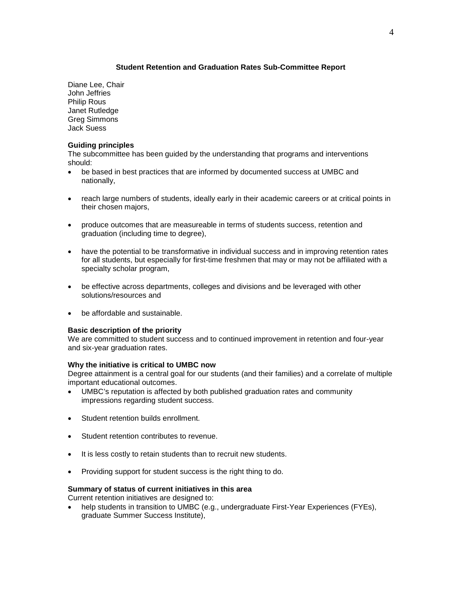## **Student Retention and Graduation Rates Sub-Committee Report**

Diane Lee, Chair John Jeffries Philip Rous Janet Rutledge Greg Simmons Jack Suess

## **Guiding principles**

The subcommittee has been guided by the understanding that programs and interventions should:

- be based in best practices that are informed by documented success at UMBC and nationally,
- reach large numbers of students, ideally early in their academic careers or at critical points in their chosen majors,
- produce outcomes that are measureable in terms of students success, retention and graduation (including time to degree),
- have the potential to be transformative in individual success and in improving retention rates for all students, but especially for first-time freshmen that may or may not be affiliated with a specialty scholar program,
- be effective across departments, colleges and divisions and be leveraged with other solutions/resources and
- be affordable and sustainable.

## **Basic description of the priority**

We are committed to student success and to continued improvement in retention and four-year and six-year graduation rates.

## **Why the initiative is critical to UMBC now**

Degree attainment is a central goal for our students (and their families) and a correlate of multiple important educational outcomes.

- UMBC's reputation is affected by both published graduation rates and community impressions regarding student success.
- Student retention builds enrollment.
- Student retention contributes to revenue.
- It is less costly to retain students than to recruit new students.
- Providing support for student success is the right thing to do.

#### **Summary of status of current initiatives in this area**

Current retention initiatives are designed to:

• help students in transition to UMBC (e.g., undergraduate First-Year Experiences (FYEs), graduate Summer Success Institute),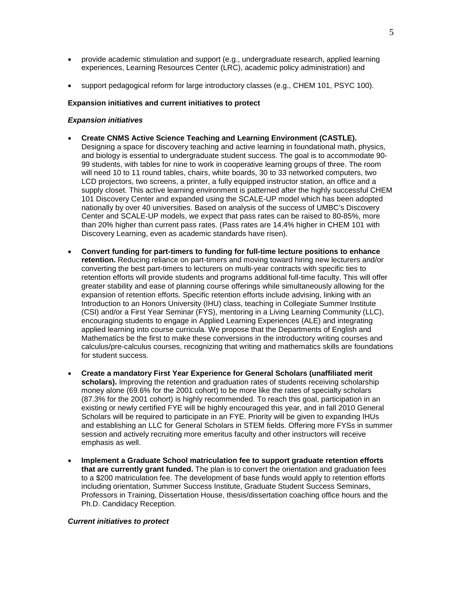- provide academic stimulation and support (e.g., undergraduate research, applied learning experiences, Learning Resources Center (LRC), academic policy administration) and
- support pedagogical reform for large introductory classes (e.g., CHEM 101, PSYC 100).

#### **Expansion initiatives and current initiatives to protect**

#### *Expansion initiatives*

- **Create CNMS Active Science Teaching and Learning Environment (CASTLE).** Designing a space for discovery teaching and active learning in foundational math, physics, and biology is essential to undergraduate student success. The goal is to accommodate 90- 99 students, with tables for nine to work in cooperative learning groups of three. The room will need 10 to 11 round tables, chairs, white boards, 30 to 33 networked computers, two LCD projectors, two screens, a printer, a fully equipped instructor station, an office and a supply closet. This active learning environment is patterned after the highly successful CHEM 101 Discovery Center and expanded using the SCALE-UP model which has been adopted nationally by over 40 universities. Based on analysis of the success of UMBC's Discovery Center and SCALE-UP models, we expect that pass rates can be raised to 80-85%, more than 20% higher than current pass rates. (Pass rates are 14.4% higher in CHEM 101 with Discovery Learning, even as academic standards have risen).
- **Convert funding for part-timers to funding for full-time lecture positions to enhance retention.** Reducing reliance on part-timers and moving toward hiring new lecturers and/or converting the best part-timers to lecturers on multi-year contracts with specific ties to retention efforts will provide students and programs additional full-time faculty. This will offer greater stability and ease of planning course offerings while simultaneously allowing for the expansion of retention efforts. Specific retention efforts include advising, linking with an Introduction to an Honors University (IHU) class, teaching in Collegiate Summer Institute (CSI) and/or a First Year Seminar (FYS), mentoring in a Living Learning Community (LLC), encouraging students to engage in Applied Learning Experiences (ALE) and integrating applied learning into course curricula. We propose that the Departments of English and Mathematics be the first to make these conversions in the introductory writing courses and calculus/pre-calculus courses, recognizing that writing and mathematics skills are foundations for student success.
- **Create a mandatory First Year Experience for General Scholars (unaffiliated merit scholars).** Improving the retention and graduation rates of students receiving scholarship money alone (69.6% for the 2001 cohort) to be more like the rates of specialty scholars (87.3% for the 2001 cohort) is highly recommended. To reach this goal, participation in an existing or newly certified FYE will be highly encouraged this year, and in fall 2010 General Scholars will be required to participate in an FYE. Priority will be given to expanding IHUs and establishing an LLC for General Scholars in STEM fields. Offering more FYSs in summer session and actively recruiting more emeritus faculty and other instructors will receive emphasis as well.
- **Implement a Graduate School matriculation fee to support graduate retention efforts that are currently grant funded.** The plan is to convert the orientation and graduation fees to a \$200 matriculation fee. The development of base funds would apply to retention efforts including orientation, Summer Success Institute, Graduate Student Success Seminars, Professors in Training, Dissertation House, thesis/dissertation coaching office hours and the Ph.D. Candidacy Reception.

#### *Current initiatives to protect*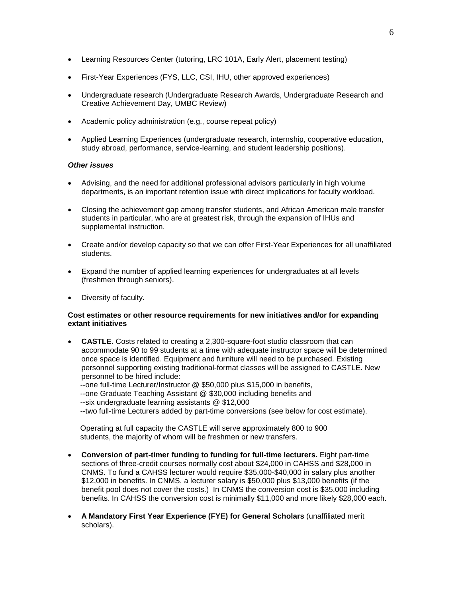- Learning Resources Center (tutoring, LRC 101A, Early Alert, placement testing)
- First-Year Experiences (FYS, LLC, CSI, IHU, other approved experiences)
- Undergraduate research (Undergraduate Research Awards, Undergraduate Research and Creative Achievement Day, UMBC Review)
- Academic policy administration (e.g., course repeat policy)
- Applied Learning Experiences (undergraduate research, internship, cooperative education, study abroad, performance, service-learning, and student leadership positions).

## *Other issues*

- Advising, and the need for additional professional advisors particularly in high volume departments, is an important retention issue with direct implications for faculty workload.
- Closing the achievement gap among transfer students, and African American male transfer students in particular, who are at greatest risk, through the expansion of IHUs and supplemental instruction.
- Create and/or develop capacity so that we can offer First-Year Experiences for all unaffiliated students.
- Expand the number of applied learning experiences for undergraduates at all levels (freshmen through seniors).
- Diversity of faculty.

## **Cost estimates or other resource requirements for new initiatives and/or for expanding extant initiatives**

• **CASTLE.** Costs related to creating a 2,300-square-foot studio classroom that can accommodate 90 to 99 students at a time with adequate instructor space will be determined once space is identified. Equipment and furniture will need to be purchased. Existing personnel supporting existing traditional-format classes will be assigned to CASTLE. New personnel to be hired include:

 --one full-time Lecturer/Instructor @ \$50,000 plus \$15,000 in benefits, --one Graduate Teaching Assistant @ \$30,000 including benefits and --six undergraduate learning assistants @ \$12,000

--two full-time Lecturers added by part-time conversions (see below for cost estimate).

 Operating at full capacity the CASTLE will serve approximately 800 to 900 students, the majority of whom will be freshmen or new transfers.

- **Conversion of part-timer funding to funding for full-time lecturers.** Eight part-time sections of three-credit courses normally cost about \$24,000 in CAHSS and \$28,000 in CNMS. To fund a CAHSS lecturer would require \$35,000-\$40,000 in salary plus another \$12,000 in benefits. In CNMS, a lecturer salary is \$50,000 plus \$13,000 benefits (if the benefit pool does not cover the costs.) In CNMS the conversion cost is \$35,000 including benefits. In CAHSS the conversion cost is minimally \$11,000 and more likely \$28,000 each.
- **A Mandatory First Year Experience (FYE) for General Scholars** (unaffiliated merit scholars).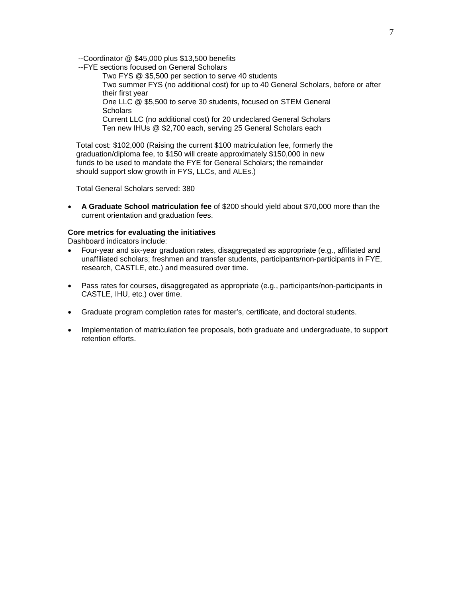--Coordinator @ \$45,000 plus \$13,500 benefits

--FYE sections focused on General Scholars

Two FYS @ \$5,500 per section to serve 40 students Two summer FYS (no additional cost) for up to 40 General Scholars, before or after their first year One LLC @ \$5,500 to serve 30 students, focused on STEM General **Scholars** Current LLC (no additional cost) for 20 undeclared General Scholars Ten new IHUs @ \$2,700 each, serving 25 General Scholars each

 Total cost: \$102,000 (Raising the current \$100 matriculation fee, formerly the graduation/diploma fee, to \$150 will create approximately \$150,000 in new funds to be used to mandate the FYE for General Scholars; the remainder should support slow growth in FYS, LLCs, and ALEs.)

Total General Scholars served: 380

• **A Graduate School matriculation fee** of \$200 should yield about \$70,000 more than the current orientation and graduation fees.

#### **Core metrics for evaluating the initiatives**

Dashboard indicators include:

- Four-year and six-year graduation rates, disaggregated as appropriate (e.g., affiliated and unaffiliated scholars; freshmen and transfer students, participants/non-participants in FYE, research, CASTLE, etc.) and measured over time.
- Pass rates for courses, disaggregated as appropriate (e.g., participants/non-participants in CASTLE, IHU, etc.) over time.
- Graduate program completion rates for master's, certificate, and doctoral students.
- Implementation of matriculation fee proposals, both graduate and undergraduate, to support retention efforts.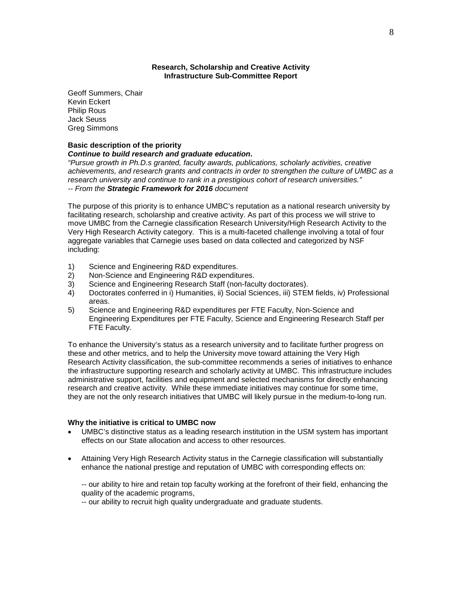#### **Research, Scholarship and Creative Activity Infrastructure Sub-Committee Report**

Geoff Summers, Chair Kevin Eckert Philip Rous Jack Seuss Greg Simmons

#### **Basic description of the priority**

#### *Continue to build research and graduate education.*

*"Pursue growth in Ph.D.s granted, faculty awards, publications, scholarly activities, creative achievements, and research grants and contracts in order to strengthen the culture of UMBC as a research university and continue to rank in a prestigious cohort of research universities." -- From the Strategic Framework for 2016 document*

The purpose of this priority is to enhance UMBC's reputation as a national research university by facilitating research, scholarship and creative activity. As part of this process we will strive to move UMBC from the Carnegie classification Research University/High Research Activity to the Very High Research Activity category. This is a multi-faceted challenge involving a total of four aggregate variables that Carnegie uses based on data collected and categorized by NSF including:

- 1) Science and Engineering R&D expenditures.
- 2) Non-Science and Engineering R&D expenditures.
- 3) Science and Engineering Research Staff (non-faculty doctorates).
- 4) Doctorates conferred in i) Humanities, ii) Social Sciences, iii) STEM fields, iv) Professional areas.
- 5) Science and Engineering R&D expenditures per FTE Faculty, Non-Science and Engineering Expenditures per FTE Faculty, Science and Engineering Research Staff per FTE Faculty.

To enhance the University's status as a research university and to facilitate further progress on these and other metrics, and to help the University move toward attaining the Very High Research Activity classification, the sub-committee recommends a series of initiatives to enhance the infrastructure supporting research and scholarly activity at UMBC. This infrastructure includes administrative support, facilities and equipment and selected mechanisms for directly enhancing research and creative activity. While these immediate initiatives may continue for some time, they are not the only research initiatives that UMBC will likely pursue in the medium-to-long run.

#### **Why the initiative is critical to UMBC now**

- UMBC's distinctive status as a leading research institution in the USM system has important effects on our State allocation and access to other resources.
- Attaining Very High Research Activity status in the Carnegie classification will substantially enhance the national prestige and reputation of UMBC with corresponding effects on:

-- our ability to hire and retain top faculty working at the forefront of their field, enhancing the quality of the academic programs,

-- our ability to recruit high quality undergraduate and graduate students.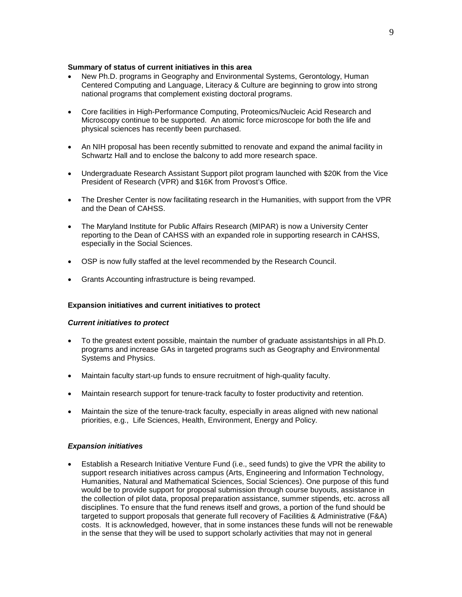#### **Summary of status of current initiatives in this area**

- New Ph.D. programs in Geography and Environmental Systems, Gerontology, Human Centered Computing and Language, Literacy & Culture are beginning to grow into strong national programs that complement existing doctoral programs.
- Core facilities in High-Performance Computing, Proteomics/Nucleic Acid Research and Microscopy continue to be supported. An atomic force microscope for both the life and physical sciences has recently been purchased.
- An NIH proposal has been recently submitted to renovate and expand the animal facility in Schwartz Hall and to enclose the balcony to add more research space.
- Undergraduate Research Assistant Support pilot program launched with \$20K from the Vice President of Research (VPR) and \$16K from Provost's Office.
- The Dresher Center is now facilitating research in the Humanities, with support from the VPR and the Dean of CAHSS.
- The Maryland Institute for Public Affairs Research (MIPAR) is now a University Center reporting to the Dean of CAHSS with an expanded role in supporting research in CAHSS, especially in the Social Sciences.
- OSP is now fully staffed at the level recommended by the Research Council.
- Grants Accounting infrastructure is being revamped.

## **Expansion initiatives and current initiatives to protect**

#### *Current initiatives to protect*

- To the greatest extent possible, maintain the number of graduate assistantships in all Ph.D. programs and increase GAs in targeted programs such as Geography and Environmental Systems and Physics.
- Maintain faculty start-up funds to ensure recruitment of high-quality faculty.
- Maintain research support for tenure-track faculty to foster productivity and retention.
- Maintain the size of the tenure-track faculty, especially in areas aligned with new national priorities, e.g., Life Sciences, Health, Environment, Energy and Policy.

## *Expansion initiatives*

• Establish a Research Initiative Venture Fund (i.e., seed funds) to give the VPR the ability to support research initiatives across campus (Arts, Engineering and Information Technology, Humanities, Natural and Mathematical Sciences, Social Sciences). One purpose of this fund would be to provide support for proposal submission through course buyouts, assistance in the collection of pilot data, proposal preparation assistance, summer stipends, etc. across all disciplines. To ensure that the fund renews itself and grows, a portion of the fund should be targeted to support proposals that generate full recovery of Facilities & Administrative (F&A) costs. It is acknowledged, however, that in some instances these funds will not be renewable in the sense that they will be used to support scholarly activities that may not in general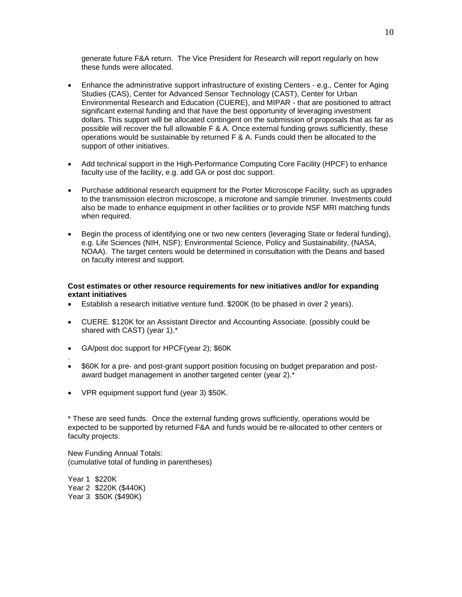generate future F&A return. The Vice President for Research will report regularly on how these funds were allocated.

- Enhance the administrative support infrastructure of existing Centers e.g., Center for Aging Studies (CAS), Center for Advanced Sensor Technology (CAST), Center for Urban Environmental Research and Education (CUERE), and MIPAR - that are positioned to attract significant external funding and that have the best opportunity of leveraging investment dollars. This support will be allocated contingent on the submission of proposals that as far as possible will recover the full allowable F & A. Once external funding grows sufficiently, these operations would be sustainable by returned F & A. Funds could then be allocated to the support of other initiatives.
- Add technical support in the High-Performance Computing Core Facility (HPCF) to enhance faculty use of the facility, e.g. add GA or post doc support.
- Purchase additional research equipment for the Porter Microscope Facility, such as upgrades to the transmission electron microscope, a microtone and sample trimmer. Investments could also be made to enhance equipment in other facilities or to provide NSF MRI matching funds when required.
- Begin the process of identifying one or two new centers (leveraging State or federal funding), e.g. Life Sciences (NIH, NSF); Environmental Science, Policy and Sustainability, (NASA, NOAA). The target centers would be determined in consultation with the Deans and based on faculty interest and support.

#### **Cost estimates or other resource requirements for new initiatives and/or for expanding extant initiatives**

- Establish a research initiative venture fund. \$200K (to be phased in over 2 years).
- CUERE. \$120K for an Assistant Director and Accounting Associate. (possibly could be shared with CAST) (year 1).\*
- GA/post doc support for HPCF(year 2); \$60K
- \$60K for a pre- and post-grant support position focusing on budget preparation and postaward budget management in another targeted center (year 2).\*
- VPR equipment support fund (year 3) \$50K.

\* These are seed funds. Once the external funding grows sufficiently, operations would be expected to be supported by returned F&A and funds would be re-allocated to other centers or faculty projects.

New Funding Annual Totals: (cumulative total of funding in parentheses)

Year 1 \$220K Year 2 \$220K (\$440K) Year 3 \$50K (\$490K)

.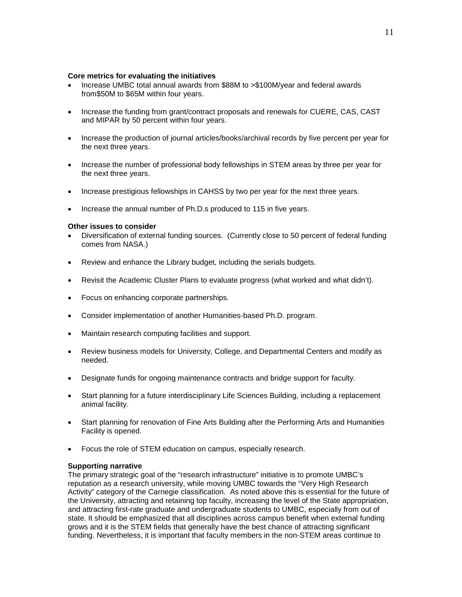#### **Core metrics for evaluating the initiatives**

- Increase UMBC total annual awards from \$88M to >\$100M/year and federal awards from\$50M to \$65M within four years.
- Increase the funding from grant/contract proposals and renewals for CUERE, CAS, CAST and MIPAR by 50 percent within four years.
- Increase the production of journal articles/books/archival records by five percent per year for the next three years.
- Increase the number of professional body fellowships in STEM areas by three per year for the next three years.
- Increase prestigious fellowships in CAHSS by two per year for the next three years.
- Increase the annual number of Ph.D.s produced to 115 in five years.

#### **Other issues to consider**

- Diversification of external funding sources. (Currently close to 50 percent of federal funding comes from NASA.)
- Review and enhance the Library budget, including the serials budgets.
- Revisit the Academic Cluster Plans to evaluate progress (what worked and what didn't).
- Focus on enhancing corporate partnerships.
- Consider implementation of another Humanities-based Ph.D. program.
- Maintain research computing facilities and support.
- Review business models for University, College, and Departmental Centers and modify as needed.
- Designate funds for ongoing maintenance contracts and bridge support for faculty.
- Start planning for a future interdisciplinary Life Sciences Building, including a replacement animal facility.
- Start planning for renovation of Fine Arts Building after the Performing Arts and Humanities Facility is opened.
- Focus the role of STEM education on campus, especially research.

## **Supporting narrative**

The primary strategic goal of the "research infrastructure" initiative is to promote UMBC's reputation as a research university, while moving UMBC towards the "Very High Research Activity" category of the Carnegie classification. As noted above this is essential for the future of the University, attracting and retaining top faculty, increasing the level of the State appropriation, and attracting first-rate graduate and undergraduate students to UMBC, especially from out of state. It should be emphasized that all disciplines across campus benefit when external funding grows and it is the STEM fields that generally have the best chance of attracting significant funding. Nevertheless, it is important that faculty members in the non-STEM areas continue to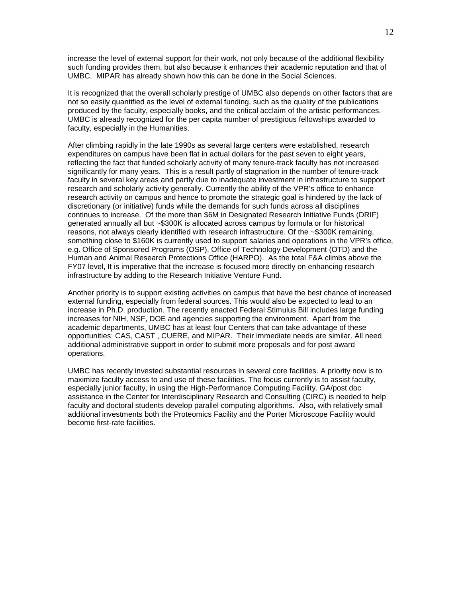increase the level of external support for their work, not only because of the additional flexibility such funding provides them, but also because it enhances their academic reputation and that of UMBC. MIPAR has already shown how this can be done in the Social Sciences.

It is recognized that the overall scholarly prestige of UMBC also depends on other factors that are not so easily quantified as the level of external funding, such as the quality of the publications produced by the faculty, especially books, and the critical acclaim of the artistic performances. UMBC is already recognized for the per capita number of prestigious fellowships awarded to faculty, especially in the Humanities.

After climbing rapidly in the late 1990s as several large centers were established, research expenditures on campus have been flat in actual dollars for the past seven to eight years, reflecting the fact that funded scholarly activity of many tenure-track faculty has not increased significantly for many years. This is a result partly of stagnation in the number of tenure-track faculty in several key areas and partly due to inadequate investment in infrastructure to support research and scholarly activity generally. Currently the ability of the VPR's office to enhance research activity on campus and hence to promote the strategic goal is hindered by the lack of discretionary (or initiative) funds while the demands for such funds across all disciplines continues to increase. Of the more than \$6M in Designated Research Initiative Funds (DRIF) generated annually all but ~\$300K is allocated across campus by formula or for historical reasons, not always clearly identified with research infrastructure. Of the ~\$300K remaining, something close to \$160K is currently used to support salaries and operations in the VPR's office, e.g. Office of Sponsored Programs (OSP), Office of Technology Development (OTD) and the Human and Animal Research Protections Office (HARPO). As the total F&A climbs above the FY07 level, It is imperative that the increase is focused more directly on enhancing research infrastructure by adding to the Research Initiative Venture Fund.

Another priority is to support existing activities on campus that have the best chance of increased external funding, especially from federal sources. This would also be expected to lead to an increase in Ph.D. production. The recently enacted Federal Stimulus Bill includes large funding increases for NIH, NSF, DOE and agencies supporting the environment. Apart from the academic departments, UMBC has at least four Centers that can take advantage of these opportunities: CAS, CAST , CUERE, and MIPAR. Their immediate needs are similar. All need additional administrative support in order to submit more proposals and for post award operations.

UMBC has recently invested substantial resources in several core facilities. A priority now is to maximize faculty access to and use of these facilities. The focus currently is to assist faculty, especially junior faculty, in using the High-Performance Computing Facility. GA/post doc assistance in the Center for Interdisciplinary Research and Consulting (CIRC) is needed to help faculty and doctoral students develop parallel computing algorithms. Also, with relatively small additional investments both the Proteomics Facility and the Porter Microscope Facility would become first-rate facilities.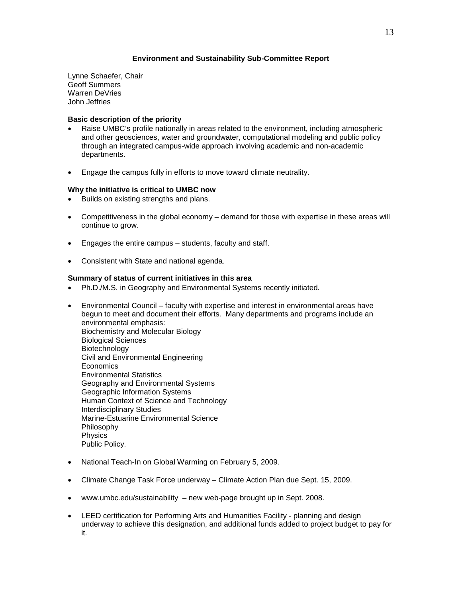## **Environment and Sustainability Sub-Committee Report**

Lynne Schaefer, Chair Geoff Summers Warren DeVries John Jeffries

## **Basic description of the priority**

- Raise UMBC's profile nationally in areas related to the environment, including atmospheric and other geosciences, water and groundwater, computational modeling and public policy through an integrated campus-wide approach involving academic and non-academic departments.
- Engage the campus fully in efforts to move toward climate neutrality.

## **Why the initiative is critical to UMBC now**

- Builds on existing strengths and plans.
- Competitiveness in the global economy demand for those with expertise in these areas will continue to grow.
- Engages the entire campus students, faculty and staff.
- Consistent with State and national agenda.

## **Summary of status of current initiatives in this area**

- Ph.D./M.S. in Geography and Environmental Systems recently initiated.
- Environmental Council faculty with expertise and interest in environmental areas have begun to meet and document their efforts. Many departments and programs include an environmental emphasis: Biochemistry and Molecular Biology Biological Sciences Biotechnology Civil and Environmental Engineering Economics Environmental Statistics Geography and Environmental Systems Geographic Information Systems Human Context of Science and Technology Interdisciplinary Studies Marine-Estuarine Environmental Science Philosophy Physics Public Policy.
- National Teach-In on Global Warming on February 5, 2009.
- Climate Change Task Force underway Climate Action Plan due Sept. 15, 2009.
- [www.umbc.edu/sustainability](http://www.umbc.edu/sustainability)  new web-page brought up in Sept. 2008.
- LEED certification for Performing Arts and Humanities Facility planning and design underway to achieve this designation, and additional funds added to project budget to pay for it.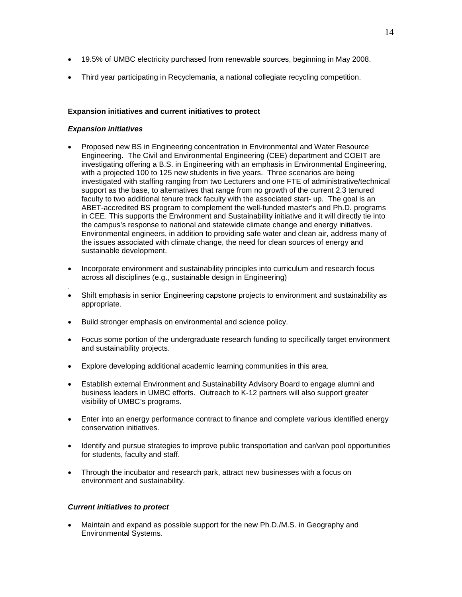- 19.5% of UMBC electricity purchased from renewable sources, beginning in May 2008.
- Third year participating in Recyclemania, a national collegiate recycling competition.

## **Expansion initiatives and current initiatives to protect**

## *Expansion initiatives*

- Proposed new BS in Engineering concentration in Environmental and Water Resource Engineering. The Civil and Environmental Engineering (CEE) department and COEIT are investigating offering a B.S. in Engineering with an emphasis in Environmental Engineering, with a projected 100 to 125 new students in five years. Three scenarios are being investigated with staffing ranging from two Lecturers and one FTE of administrative/technical support as the base, to alternatives that range from no growth of the current 2.3 tenured faculty to two additional tenure track faculty with the associated start- up. The goal is an ABET-accredited BS program to complement the well-funded master's and Ph.D. programs in CEE. This supports the Environment and Sustainability initiative and it will directly tie into the campus's response to national and statewide climate change and energy initiatives. Environmental engineers, in addition to providing safe water and clean air, address many of the issues associated with climate change, the need for clean sources of energy and sustainable development.
- Incorporate environment and sustainability principles into curriculum and research focus across all disciplines (e.g., sustainable design in Engineering)
- . • Shift emphasis in senior Engineering capstone projects to environment and sustainability as appropriate.
- Build stronger emphasis on environmental and science policy.
- Focus some portion of the undergraduate research funding to specifically target environment and sustainability projects.
- Explore developing additional academic learning communities in this area.
- Establish external Environment and Sustainability Advisory Board to engage alumni and business leaders in UMBC efforts. Outreach to K-12 partners will also support greater visibility of UMBC's programs.
- Enter into an energy performance contract to finance and complete various identified energy conservation initiatives.
- Identify and pursue strategies to improve public transportation and car/van pool opportunities for students, faculty and staff.
- Through the incubator and research park, attract new businesses with a focus on environment and sustainability.

## *Current initiatives to protect*

• Maintain and expand as possible support for the new Ph.D./M.S. in Geography and Environmental Systems.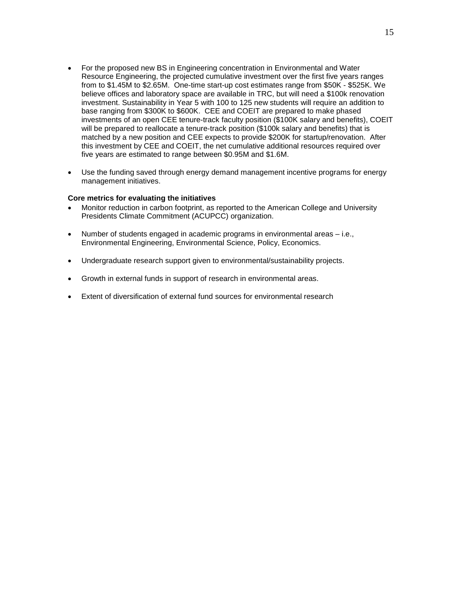- For the proposed new BS in Engineering concentration in Environmental and Water Resource Engineering, the projected cumulative investment over the first five years ranges from to \$1.45M to \$2.65M. One-time start-up cost estimates range from \$50K - \$525K. We believe offices and laboratory space are available in TRC, but will need a \$100k renovation investment. Sustainability in Year 5 with 100 to 125 new students will require an addition to base ranging from \$300K to \$600K. CEE and COEIT are prepared to make phased investments of an open CEE tenure-track faculty position (\$100K salary and benefits), COEIT will be prepared to reallocate a tenure-track position (\$100k salary and benefits) that is matched by a new position and CEE expects to provide \$200K for startup/renovation. After this investment by CEE and COEIT, the net cumulative additional resources required over five years are estimated to range between \$0.95M and \$1.6M.
- Use the funding saved through energy demand management incentive programs for energy management initiatives.

#### **Core metrics for evaluating the initiatives**

- Monitor reduction in carbon footprint, as reported to the American College and University Presidents Climate Commitment (ACUPCC) organization.
- Number of students engaged in academic programs in environmental areas i.e., Environmental Engineering, Environmental Science, Policy, Economics.
- Undergraduate research support given to environmental/sustainability projects.
- Growth in external funds in support of research in environmental areas.
- Extent of diversification of external fund sources for environmental research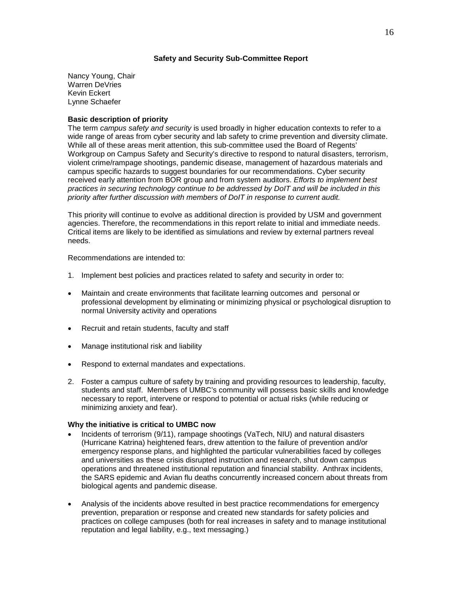## **Safety and Security Sub-Committee Report**

Nancy Young, Chair Warren DeVries Kevin Eckert Lynne Schaefer

## **Basic description of priority**

The term *campus safety and security* is used broadly in higher education contexts to refer to a wide range of areas from cyber security and lab safety to crime prevention and diversity climate. While all of these areas merit attention, this sub-committee used the Board of Regents' Workgroup on Campus Safety and Security's directive to respond to natural disasters, terrorism, violent crime/rampage shootings, pandemic disease, management of hazardous materials and campus specific hazards to suggest boundaries for our recommendations. Cyber security received early attention from BOR group and from system auditors. *Efforts to implement best practices in securing technology continue to be addressed by DoIT and will be included in this priority after further discussion with members of DoIT in response to current audit.*

This priority will continue to evolve as additional direction is provided by USM and government agencies. Therefore, the recommendations in this report relate to initial and immediate needs. Critical items are likely to be identified as simulations and review by external partners reveal needs.

Recommendations are intended to:

- 1. Implement best policies and practices related to safety and security in order to:
- Maintain and create environments that facilitate learning outcomes and personal or professional development by eliminating or minimizing physical or psychological disruption to normal University activity and operations
- Recruit and retain students, faculty and staff
- Manage institutional risk and liability
- Respond to external mandates and expectations.
- 2. Foster a campus culture of safety by training and providing resources to leadership, faculty, students and staff. Members of UMBC's community will possess basic skills and knowledge necessary to report, intervene or respond to potential or actual risks (while reducing or minimizing anxiety and fear).

#### **Why the initiative is critical to UMBC now**

- Incidents of terrorism (9/11), rampage shootings (VaTech, NIU) and natural disasters (Hurricane Katrina) heightened fears, drew attention to the failure of prevention and/or emergency response plans, and highlighted the particular vulnerabilities faced by colleges and universities as these crisis disrupted instruction and research, shut down campus operations and threatened institutional reputation and financial stability. Anthrax incidents, the SARS epidemic and Avian flu deaths concurrently increased concern about threats from biological agents and pandemic disease.
- Analysis of the incidents above resulted in best practice recommendations for emergency prevention, preparation or response and created new standards for safety policies and practices on college campuses (both for real increases in safety and to manage institutional reputation and legal liability, e.g., text messaging.)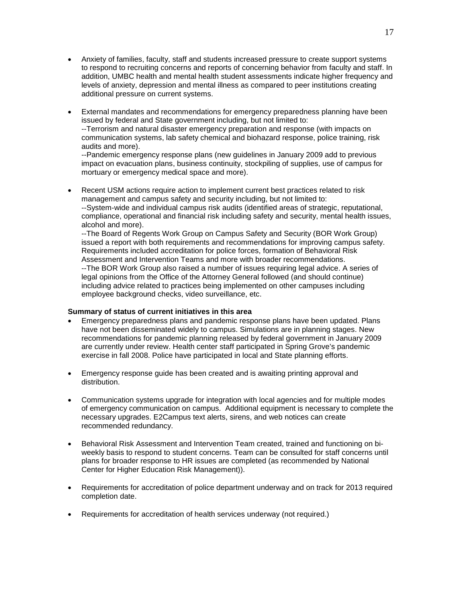- Anxiety of families, faculty, staff and students increased pressure to create support systems to respond to recruiting concerns and reports of concerning behavior from faculty and staff. In addition, UMBC health and mental health student assessments indicate higher frequency and levels of anxiety, depression and mental illness as compared to peer institutions creating additional pressure on current systems.
- External mandates and recommendations for emergency preparedness planning have been issued by federal and State government including, but not limited to: --Terrorism and natural disaster emergency preparation and response (with impacts on communication systems, lab safety chemical and biohazard response, police training, risk audits and more).

--Pandemic emergency response plans (new guidelines in January 2009 add to previous impact on evacuation plans, business continuity, stockpiling of supplies, use of campus for mortuary or emergency medical space and more).

Recent USM actions require action to implement current best practices related to risk management and campus safety and security including, but not limited to: --System-wide and individual campus risk audits (identified areas of strategic, reputational, compliance, operational and financial risk including safety and security, mental health issues, alcohol and more).

--The Board of Regents Work Group on Campus Safety and Security (BOR Work Group) issued a report with both requirements and recommendations for improving campus safety. Requirements included accreditation for police forces, formation of Behavioral Risk Assessment and Intervention Teams and more with broader recommendations. --The BOR Work Group also raised a number of issues requiring legal advice. A series of legal opinions from the Office of the Attorney General followed (and should continue) including advice related to practices being implemented on other campuses including employee background checks, video surveillance, etc.

## **Summary of status of current initiatives in this area**

- Emergency preparedness plans and pandemic response plans have been updated. Plans have not been disseminated widely to campus. Simulations are in planning stages. New recommendations for pandemic planning released by federal government in January 2009 are currently under review. Health center staff participated in Spring Grove's pandemic exercise in fall 2008. Police have participated in local and State planning efforts.
- Emergency response guide has been created and is awaiting printing approval and distribution.
- Communication systems upgrade for integration with local agencies and for multiple modes of emergency communication on campus. Additional equipment is necessary to complete the necessary upgrades. E2Campus text alerts, sirens, and web notices can create recommended redundancy.
- Behavioral Risk Assessment and Intervention Team created, trained and functioning on biweekly basis to respond to student concerns. Team can be consulted for staff concerns until plans for broader response to HR issues are completed (as recommended by National Center for Higher Education Risk Management)).
- Requirements for accreditation of police department underway and on track for 2013 required completion date.
- Requirements for accreditation of health services underway (not required.)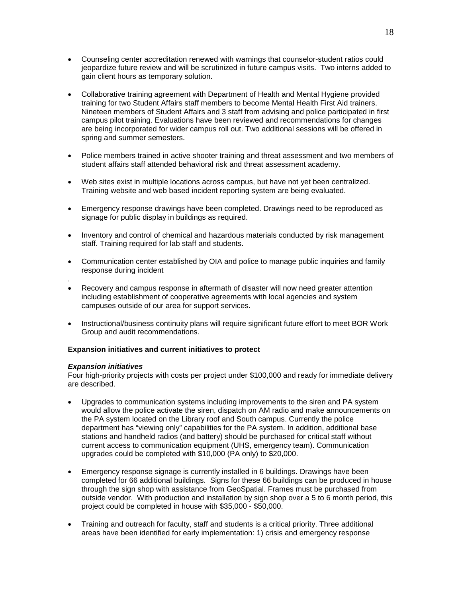- Counseling center accreditation renewed with warnings that counselor-student ratios could jeopardize future review and will be scrutinized in future campus visits. Two interns added to gain client hours as temporary solution.
- Collaborative training agreement with Department of Health and Mental Hygiene provided training for two Student Affairs staff members to become Mental Health First Aid trainers. Nineteen members of Student Affairs and 3 staff from advising and police participated in first campus pilot training. Evaluations have been reviewed and recommendations for changes are being incorporated for wider campus roll out. Two additional sessions will be offered in spring and summer semesters.
- Police members trained in active shooter training and threat assessment and two members of student affairs staff attended behavioral risk and threat assessment academy.
- Web sites exist in multiple locations across campus, but have not yet been centralized. Training website and web based incident reporting system are being evaluated.
- Emergency response drawings have been completed. Drawings need to be reproduced as signage for public display in buildings as required.
- Inventory and control of chemical and hazardous materials conducted by risk management staff. Training required for lab staff and students.
- Communication center established by OIA and police to manage public inquiries and family response during incident
- . • Recovery and campus response in aftermath of disaster will now need greater attention including establishment of cooperative agreements with local agencies and system campuses outside of our area for support services.
- Instructional/business continuity plans will require significant future effort to meet BOR Work Group and audit recommendations.

## **Expansion initiatives and current initiatives to protect**

#### *Expansion initiatives*

Four high-priority projects with costs per project under \$100,000 and ready for immediate delivery are described.

- Upgrades to communication systems including improvements to the siren and PA system would allow the police activate the siren, dispatch on AM radio and make announcements on the PA system located on the Library roof and South campus. Currently the police department has "viewing only" capabilities for the PA system. In addition, additional base stations and handheld radios (and battery) should be purchased for critical staff without current access to communication equipment (UHS, emergency team). Communication upgrades could be completed with \$10,000 (PA only) to \$20,000.
- Emergency response signage is currently installed in 6 buildings. Drawings have been completed for 66 additional buildings. Signs for these 66 buildings can be produced in house through the sign shop with assistance from GeoSpatial. Frames must be purchased from outside vendor. With production and installation by sign shop over a 5 to 6 month period, this project could be completed in house with \$35,000 - \$50,000.
- Training and outreach for faculty, staff and students is a critical priority. Three additional areas have been identified for early implementation: 1) crisis and emergency response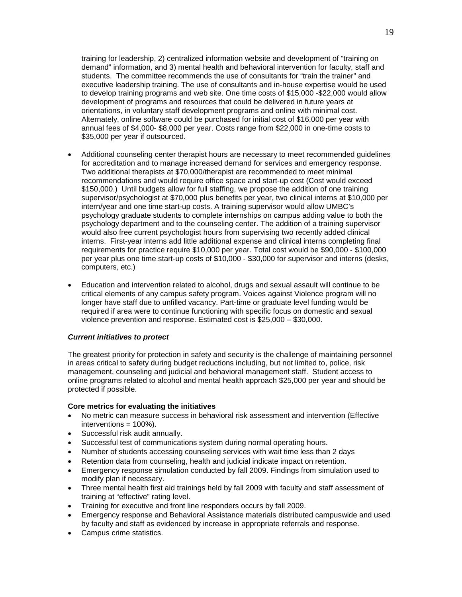training for leadership, 2) centralized information website and development of "training on demand" information, and 3) mental health and behavioral intervention for faculty, staff and students. The committee recommends the use of consultants for "train the trainer" and executive leadership training. The use of consultants and in-house expertise would be used to develop training programs and web site. One time costs of \$15,000 -\$22,000 would allow development of programs and resources that could be delivered in future years at orientations, in voluntary staff development programs and online with minimal cost. Alternately, online software could be purchased for initial cost of \$16,000 per year with annual fees of \$4,000- \$8,000 per year. Costs range from \$22,000 in one-time costs to \$35,000 per year if outsourced.

- Additional counseling center therapist hours are necessary to meet recommended guidelines for accreditation and to manage increased demand for services and emergency response. Two additional therapists at \$70,000/therapist are recommended to meet minimal recommendations and would require office space and start-up cost (Cost would exceed \$150,000.) Until budgets allow for full staffing, we propose the addition of one training supervisor/psychologist at \$70,000 plus benefits per year, two clinical interns at \$10,000 per intern/year and one time start-up costs. A training supervisor would allow UMBC's psychology graduate students to complete internships on campus adding value to both the psychology department and to the counseling center. The addition of a training supervisor would also free current psychologist hours from supervising two recently added clinical interns. First-year interns add little additional expense and clinical interns completing final requirements for practice require \$10,000 per year. Total cost would be \$90,000 - \$100,000 per year plus one time start-up costs of \$10,000 - \$30,000 for supervisor and interns (desks, computers, etc.)
- Education and intervention related to alcohol, drugs and sexual assault will continue to be critical elements of any campus safety program. Voices against Violence program will no longer have staff due to unfilled vacancy. Part-time or graduate level funding would be required if area were to continue functioning with specific focus on domestic and sexual violence prevention and response. Estimated cost is \$25,000 – \$30,000.

## *Current initiatives to protect*

The greatest priority for protection in safety and security is the challenge of maintaining personnel in areas critical to safety during budget reductions including, but not limited to, police, risk management, counseling and judicial and behavioral management staff. Student access to online programs related to alcohol and mental health approach \$25,000 per year and should be protected if possible.

#### **Core metrics for evaluating the initiatives**

- No metric can measure success in behavioral risk assessment and intervention (Effective interventions = 100%).
- Successful risk audit annually.
- Successful test of communications system during normal operating hours.
- Number of students accessing counseling services with wait time less than 2 days
- Retention data from counseling, health and judicial indicate impact on retention.
- Emergency response simulation conducted by fall 2009. Findings from simulation used to modify plan if necessary.
- Three mental health first aid trainings held by fall 2009 with faculty and staff assessment of training at "effective" rating level.
- Training for executive and front line responders occurs by fall 2009.
- Emergency response and Behavioral Assistance materials distributed campuswide and used by faculty and staff as evidenced by increase in appropriate referrals and response.
- Campus crime statistics.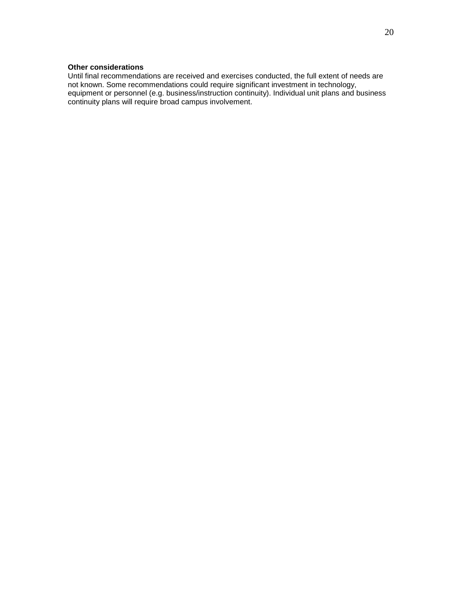# **Other considerations**

Until final recommendations are received and exercises conducted, the full extent of needs are not known. Some recommendations could require significant investment in technology, equipment or personnel (e.g. business/instruction continuity). Individual unit plans and business continuity plans will require broad campus involvement.